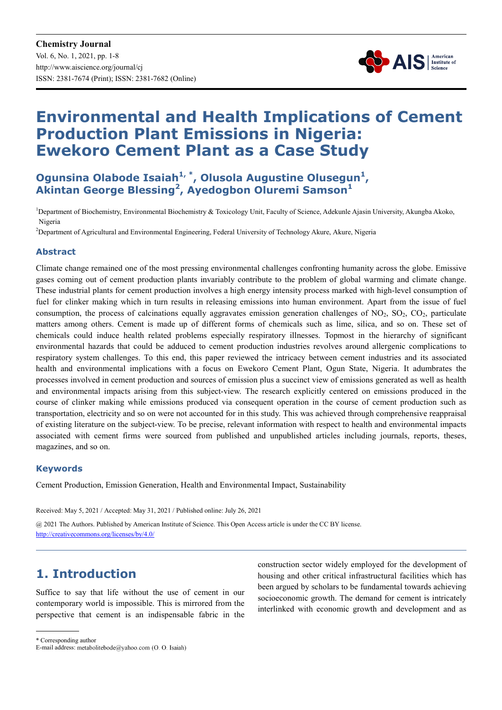

# **Environmental and Health Implications of Cement Production Plant Emissions in Nigeria: Ewekoro Cement Plant as a Case Study**

**Ogunsina Olabode Isaiah1, \*, Olusola Augustine Olusegun<sup>1</sup> , Akintan George Blessing<sup>2</sup> , Ayedogbon Oluremi Samson<sup>1</sup>**

<sup>1</sup>Department of Biochemistry, Environmental Biochemistry & Toxicology Unit, Faculty of Science, Adekunle Ajasin University, Akungba Akoko, Nigeria

<sup>2</sup>Department of Agricultural and Environmental Engineering, Federal University of Technology Akure, Akure, Nigeria

#### **Abstract**

Climate change remained one of the most pressing environmental challenges confronting humanity across the globe. Emissive gases coming out of cement production plants invariably contribute to the problem of global warming and climate change. These industrial plants for cement production involves a high energy intensity process marked with high-level consumption of fuel for clinker making which in turn results in releasing emissions into human environment. Apart from the issue of fuel consumption, the process of calcinations equally aggravates emission generation challenges of  $NO<sub>2</sub>$ ,  $SO<sub>2</sub>$ ,  $CO<sub>2</sub>$ , particulate matters among others. Cement is made up of different forms of chemicals such as lime, silica, and so on. These set of chemicals could induce health related problems especially respiratory illnesses. Topmost in the hierarchy of significant environmental hazards that could be adduced to cement production industries revolves around allergenic complications to respiratory system challenges. To this end, this paper reviewed the intricacy between cement industries and its associated health and environmental implications with a focus on Ewekoro Cement Plant, Ogun State, Nigeria. It adumbrates the processes involved in cement production and sources of emission plus a succinct view of emissions generated as well as health and environmental impacts arising from this subject-view. The research explicitly centered on emissions produced in the course of clinker making while emissions produced via consequent operation in the course of cement production such as transportation, electricity and so on were not accounted for in this study. This was achieved through comprehensive reappraisal of existing literature on the subject-view. To be precise, relevant information with respect to health and environmental impacts associated with cement firms were sourced from published and unpublished articles including journals, reports, theses, magazines, and so on.

#### **Keywords**

Cement Production, Emission Generation, Health and Environmental Impact, Sustainability

Received: May 5, 2021 / Accepted: May 31, 2021 / Published online: July 26, 2021

@ 2021 The Authors. Published by American Institute of Science. This Open Access article is under the CC BY license. http://creativecommons.org/licenses/by/4.0/

# **1. Introduction**

Suffice to say that life without the use of cement in our contemporary world is impossible. This is mirrored from the perspective that cement is an indispensable fabric in the construction sector widely employed for the development of housing and other critical infrastructural facilities which has been argued by scholars to be fundamental towards achieving socioeconomic growth. The demand for cement is intricately interlinked with economic growth and development and as

\* Corresponding author

E-mail address: metabolitebode@yahoo.com (O. O. Isaiah)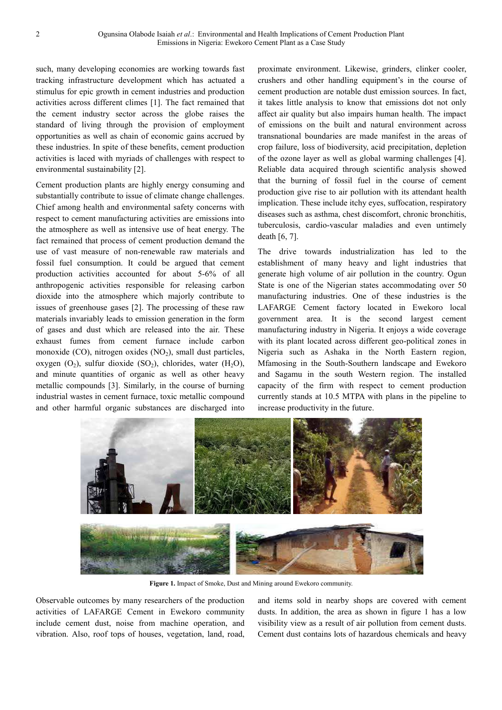such, many developing economies are working towards fast tracking infrastructure development which has actuated a stimulus for epic growth in cement industries and production activities across different climes [1]. The fact remained that the cement industry sector across the globe raises the standard of living through the provision of employment opportunities as well as chain of economic gains accrued by these industries. In spite of these benefits, cement production activities is laced with myriads of challenges with respect to environmental sustainability [2].

Cement production plants are highly energy consuming and substantially contribute to issue of climate change challenges. Chief among health and environmental safety concerns with respect to cement manufacturing activities are emissions into the atmosphere as well as intensive use of heat energy. The fact remained that process of cement production demand the use of vast measure of non-renewable raw materials and fossil fuel consumption. It could be argued that cement production activities accounted for about 5-6% of all anthropogenic activities responsible for releasing carbon dioxide into the atmosphere which majorly contribute to issues of greenhouse gases [2]. The processing of these raw materials invariably leads to emission generation in the form of gases and dust which are released into the air. These exhaust fumes from cement furnace include carbon monoxide  $(CO)$ , nitrogen oxides  $(NO<sub>2</sub>)$ , small dust particles, oxygen  $(O_2)$ , sulfur dioxide  $(SO_2)$ , chlorides, water  $(H_2O)$ , and minute quantities of organic as well as other heavy metallic compounds [3]. Similarly, in the course of burning industrial wastes in cement furnace, toxic metallic compound and other harmful organic substances are discharged into

proximate environment. Likewise, grinders, clinker cooler, crushers and other handling equipment's in the course of cement production are notable dust emission sources. In fact, it takes little analysis to know that emissions dot not only affect air quality but also impairs human health. The impact of emissions on the built and natural environment across transnational boundaries are made manifest in the areas of crop failure, loss of biodiversity, acid precipitation, depletion of the ozone layer as well as global warming challenges [4]. Reliable data acquired through scientific analysis showed that the burning of fossil fuel in the course of cement production give rise to air pollution with its attendant health implication. These include itchy eyes, suffocation, respiratory diseases such as asthma, chest discomfort, chronic bronchitis, tuberculosis, cardio-vascular maladies and even untimely death [6, 7].

The drive towards industrialization has led to the establishment of many heavy and light industries that generate high volume of air pollution in the country. Ogun State is one of the Nigerian states accommodating over 50 manufacturing industries. One of these industries is the LAFARGE Cement factory located in Ewekoro local government area. It is the second largest cement manufacturing industry in Nigeria. It enjoys a wide coverage with its plant located across different geo-political zones in Nigeria such as Ashaka in the North Eastern region, Mfamosing in the South-Southern landscape and Ewekoro and Sagamu in the south Western region. The installed capacity of the firm with respect to cement production currently stands at 10.5 MTPA with plans in the pipeline to increase productivity in the future.



**Figure 1.** Impact of Smoke, Dust and Mining around Ewekoro community.

Observable outcomes by many researchers of the production activities of LAFARGE Cement in Ewekoro community include cement dust, noise from machine operation, and vibration. Also, roof tops of houses, vegetation, land, road,

and items sold in nearby shops are covered with cement dusts. In addition, the area as shown in figure 1 has a low visibility view as a result of air pollution from cement dusts. Cement dust contains lots of hazardous chemicals and heavy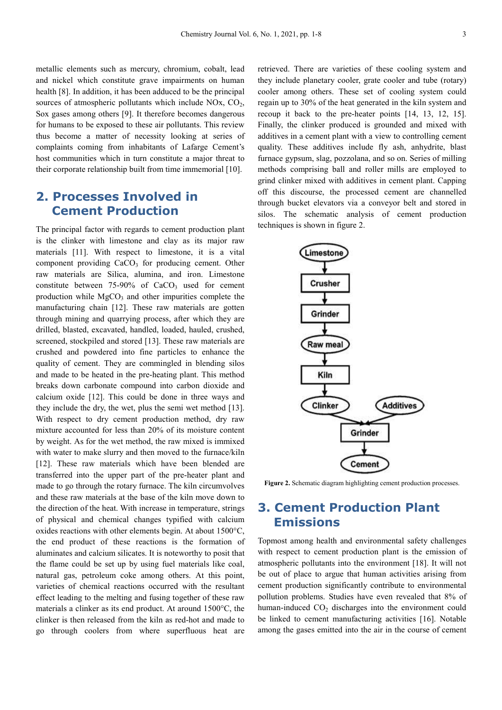metallic elements such as mercury, chromium, cobalt, lead and nickel which constitute grave impairments on human health [8]. In addition, it has been adduced to be the principal sources of atmospheric pollutants which include  $NOx$ ,  $CO<sub>2</sub>$ , Sox gases among others [9]. It therefore becomes dangerous for humans to be exposed to these air pollutants. This review thus become a matter of necessity looking at series of complaints coming from inhabitants of Lafarge Cement's host communities which in turn constitute a major threat to their corporate relationship built from time immemorial [10].

## **2. Processes Involved in Cement Production**

The principal factor with regards to cement production plant is the clinker with limestone and clay as its major raw materials [11]. With respect to limestone, it is a vital component providing  $CaCO<sub>3</sub>$  for producing cement. Other raw materials are Silica, alumina, and iron. Limestone constitute between  $75-90\%$  of  $CaCO<sub>3</sub>$  used for cement production while  $MgCO<sub>3</sub>$  and other impurities complete the manufacturing chain [12]. These raw materials are gotten through mining and quarrying process, after which they are drilled, blasted, excavated, handled, loaded, hauled, crushed, screened, stockpiled and stored [13]. These raw materials are crushed and powdered into fine particles to enhance the quality of cement. They are commingled in blending silos and made to be heated in the pre-heating plant. This method breaks down carbonate compound into carbon dioxide and calcium oxide [12]. This could be done in three ways and they include the dry, the wet, plus the semi wet method [13]. With respect to dry cement production method, dry raw mixture accounted for less than 20% of its moisture content by weight. As for the wet method, the raw mixed is immixed with water to make slurry and then moved to the furnace/kiln [12]. These raw materials which have been blended are transferred into the upper part of the pre-heater plant and made to go through the rotary furnace. The kiln circumvolves and these raw materials at the base of the kiln move down to the direction of the heat. With increase in temperature, strings of physical and chemical changes typified with calcium oxides reactions with other elements begin. At about 1500°C, the end product of these reactions is the formation of aluminates and calcium silicates. It is noteworthy to posit that the flame could be set up by using fuel materials like coal, natural gas, petroleum coke among others. At this point, varieties of chemical reactions occurred with the resultant effect leading to the melting and fusing together of these raw materials a clinker as its end product. At around 1500°C, the clinker is then released from the kiln as red-hot and made to go through coolers from where superfluous heat are

retrieved. There are varieties of these cooling system and they include planetary cooler, grate cooler and tube (rotary) cooler among others. These set of cooling system could regain up to 30% of the heat generated in the kiln system and recoup it back to the pre-heater points [14, 13, 12, 15]. Finally, the clinker produced is grounded and mixed with additives in a cement plant with a view to controlling cement quality. These additives include fly ash, anhydrite, blast furnace gypsum, slag, pozzolana, and so on. Series of milling methods comprising ball and roller mills are employed to grind clinker mixed with additives in cement plant. Capping off this discourse, the processed cement are channelled through bucket elevators via a conveyor belt and stored in silos. The schematic analysis of cement production techniques is shown in figure 2.



**Figure 2.** Schematic diagram highlighting cement production processes.

# **3. Cement Production Plant Emissions**

Topmost among health and environmental safety challenges with respect to cement production plant is the emission of atmospheric pollutants into the environment [18]. It will not be out of place to argue that human activities arising from cement production significantly contribute to environmental pollution problems. Studies have even revealed that 8% of human-induced CO<sub>2</sub> discharges into the environment could be linked to cement manufacturing activities [16]. Notable among the gases emitted into the air in the course of cement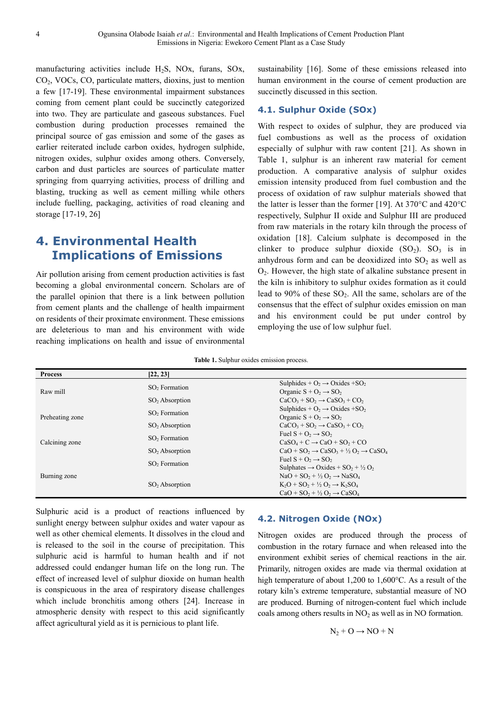manufacturing activities include H2S, NOx, furans, SOx, CO2, VOCs, CO, particulate matters, dioxins, just to mention a few [17-19]. These environmental impairment substances coming from cement plant could be succinctly categorized into two. They are particulate and gaseous substances. Fuel combustion during production processes remained the principal source of gas emission and some of the gases as earlier reiterated include carbon oxides, hydrogen sulphide, nitrogen oxides, sulphur oxides among others. Conversely, carbon and dust particles are sources of particulate matter springing from quarrying activities, process of drilling and blasting, trucking as well as cement milling while others include fuelling, packaging, activities of road cleaning and storage [17-19, 26]

# **4. Environmental Health Implications of Emissions**

Air pollution arising from cement production activities is fast becoming a global environmental concern. Scholars are of the parallel opinion that there is a link between pollution from cement plants and the challenge of health impairment on residents of their proximate environment. These emissions are deleterious to man and his environment with wide reaching implications on health and issue of environmental

sustainability [16]. Some of these emissions released into human environment in the course of cement production are succinctly discussed in this section.

#### **4.1. Sulphur Oxide (SOx)**

With respect to oxides of sulphur, they are produced via fuel combustions as well as the process of oxidation especially of sulphur with raw content [21]. As shown in Table 1, sulphur is an inherent raw material for cement production. A comparative analysis of sulphur oxides emission intensity produced from fuel combustion and the process of oxidation of raw sulphur materials showed that the latter is lesser than the former [19]. At 370°C and 420°C respectively, Sulphur II oxide and Sulphur III are produced from raw materials in the rotary kiln through the process of oxidation [18]. Calcium sulphate is decomposed in the clinker to produce sulphur dioxide  $(SO<sub>2</sub>)$ .  $SO<sub>3</sub>$  is in anhydrous form and can be deoxidized into  $SO<sub>2</sub>$  as well as O2. However, the high state of alkaline substance present in the kiln is inhibitory to sulphur oxides formation as it could lead to 90% of these  $SO_2$ . All the same, scholars are of the consensus that the effect of sulphur oxides emission on man and his environment could be put under control by employing the use of low sulphur fuel.

**Table 1.** Sulphur oxides emission process.

| <b>Process</b>  | [22, 23]                  |                                                                                 |
|-----------------|---------------------------|---------------------------------------------------------------------------------|
| Raw mill        | $SO2$ Formation           | Sulphides + $O_2 \rightarrow Ox$ des + $SO_2$                                   |
|                 |                           | Organic $S + O_2 \rightarrow SO_2$                                              |
|                 | $SO2$ Absorption          | $CaCO3 + SO2 \rightarrow CaSO3 + CO2$                                           |
| Preheating zone | SO <sub>2</sub> Formation | Sulphides + $O_2 \rightarrow$ Oxides + SO <sub>2</sub>                          |
|                 |                           | Organic $S + O_2 \rightarrow SO_2$                                              |
|                 | $SO2$ Absorption          | $CaCO3 + SO2 \rightarrow CaSO3 + CO2$                                           |
| Calcining zone  | SO <sub>2</sub> Formation | Fuel $S + O_2 \rightarrow SO_2$                                                 |
|                 |                           | $CaSO4 + C \rightarrow CaO + SO2 + CO$                                          |
|                 | $SO2$ Absorption          | $CaO + SO_2 \rightarrow CaSO_3 + \frac{1}{2}O_2 \rightarrow CaSO_4$             |
| Burning zone    | SO <sub>2</sub> Formation | Fuel $S + O_2 \rightarrow SO_2$                                                 |
|                 |                           | Sulphates $\rightarrow$ Oxides + SO <sub>2</sub> + $\frac{1}{2}$ O <sub>2</sub> |
|                 | $SO2$ Absorption          | $NaO + SO_2 + \frac{1}{2}O_2 \rightarrow NaSO_4$                                |
|                 |                           | $K_2O + SO_2 + \frac{1}{2}O_2 \rightarrow K_2SO_4$                              |
|                 |                           | $CaO + SO_2 + \frac{1}{2}O_2 \rightarrow CaSO_4$                                |

Sulphuric acid is a product of reactions influenced by sunlight energy between sulphur oxides and water vapour as well as other chemical elements. It dissolves in the cloud and is released to the soil in the course of precipitation. This sulphuric acid is harmful to human health and if not addressed could endanger human life on the long run. The effect of increased level of sulphur dioxide on human health is conspicuous in the area of respiratory disease challenges which include bronchitis among others [24]. Increase in atmospheric density with respect to this acid significantly affect agricultural yield as it is pernicious to plant life.

#### **4.2. Nitrogen Oxide (NOx)**

Nitrogen oxides are produced through the process of combustion in the rotary furnace and when released into the environment exhibit series of chemical reactions in the air. Primarily, nitrogen oxides are made via thermal oxidation at high temperature of about 1,200 to 1,600°C. As a result of the rotary kiln's extreme temperature, substantial measure of NO are produced. Burning of nitrogen-content fuel which include coals among others results in  $NO<sub>2</sub>$  as well as in NO formation.

$$
N_2 + O \rightarrow NO + N
$$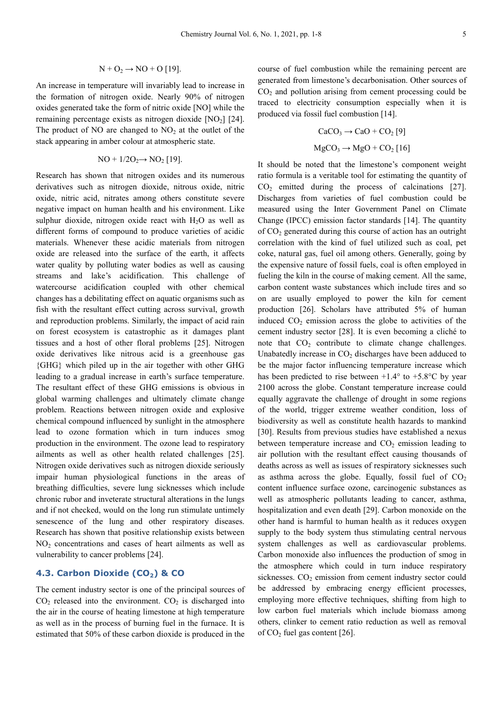$$
N + O_2 \rightarrow NO + O [19].
$$

An increase in temperature will invariably lead to increase in the formation of nitrogen oxide. Nearly 90% of nitrogen oxides generated take the form of nitric oxide [NO] while the remaining percentage exists as nitrogen dioxide  $[NO<sub>2</sub>]$   $[24]$ . The product of NO are changed to  $NO<sub>2</sub>$  at the outlet of the stack appearing in amber colour at atmospheric state.

$$
NO + 1/2O_2 \rightarrow NO_2 [19].
$$

Research has shown that nitrogen oxides and its numerous derivatives such as nitrogen dioxide, nitrous oxide, nitric oxide, nitric acid, nitrates among others constitute severe negative impact on human health and his environment. Like sulphur dioxide, nitrogen oxide react with  $H_2O$  as well as different forms of compound to produce varieties of acidic materials. Whenever these acidic materials from nitrogen oxide are released into the surface of the earth, it affects water quality by polluting water bodies as well as causing streams and lake's acidification. This challenge of watercourse acidification coupled with other chemical changes has a debilitating effect on aquatic organisms such as fish with the resultant effect cutting across survival, growth and reproduction problems. Similarly, the impact of acid rain on forest ecosystem is catastrophic as it damages plant tissues and a host of other floral problems [25]. Nitrogen oxide derivatives like nitrous acid is a greenhouse gas {GHG} which piled up in the air together with other GHG leading to a gradual increase in earth's surface temperature. The resultant effect of these GHG emissions is obvious in global warming challenges and ultimately climate change problem. Reactions between nitrogen oxide and explosive chemical compound influenced by sunlight in the atmosphere lead to ozone formation which in turn induces smog production in the environment. The ozone lead to respiratory ailments as well as other health related challenges [25]. Nitrogen oxide derivatives such as nitrogen dioxide seriously impair human physiological functions in the areas of breathing difficulties, severe lung sicknesses which include chronic rubor and inveterate structural alterations in the lungs and if not checked, would on the long run stimulate untimely senescence of the lung and other respiratory diseases. Research has shown that positive relationship exists between  $NO<sub>2</sub>$  concentrations and cases of heart ailments as well as vulnerability to cancer problems [24].

#### **4.3. Carbon Dioxide (CO2) & CO**

The cement industry sector is one of the principal sources of  $CO<sub>2</sub>$  released into the environment.  $CO<sub>2</sub>$  is discharged into the air in the course of heating limestone at high temperature as well as in the process of burning fuel in the furnace. It is estimated that 50% of these carbon dioxide is produced in the

course of fuel combustion while the remaining percent are generated from limestone's decarbonisation. Other sources of  $CO<sub>2</sub>$  and pollution arising from cement processing could be traced to electricity consumption especially when it is produced via fossil fuel combustion [14].

$$
CaCO3 \rightarrow CaO + CO2 [9]
$$
  
MgCO<sub>3</sub> \rightarrow MgO + CO<sub>2</sub> [16]

It should be noted that the limestone's component weight ratio formula is a veritable tool for estimating the quantity of  $CO<sub>2</sub>$  emitted during the process of calcinations [27]. Discharges from varieties of fuel combustion could be measured using the Inter Government Panel on Climate Change (IPCC) emission factor standards [14]. The quantity of  $CO<sub>2</sub>$  generated during this course of action has an outright correlation with the kind of fuel utilized such as coal, pet coke, natural gas, fuel oil among others. Generally, going by the expensive nature of fossil fuels, coal is often employed in fueling the kiln in the course of making cement. All the same, carbon content waste substances which include tires and so on are usually employed to power the kiln for cement production [26]. Scholars have attributed 5% of human induced  $CO<sub>2</sub>$  emission across the globe to activities of the cement industry sector [28]. It is even becoming a cliché to note that  $CO<sub>2</sub>$  contribute to climate change challenges. Unabatedly increase in  $CO<sub>2</sub>$  discharges have been adduced to be the major factor influencing temperature increase which has been predicted to rise between  $+1.4^{\circ}$  to  $+5.8^{\circ}$ C by year 2100 across the globe. Constant temperature increase could equally aggravate the challenge of drought in some regions of the world, trigger extreme weather condition, loss of biodiversity as well as constitute health hazards to mankind [30]. Results from previous studies have established a nexus between temperature increase and  $CO<sub>2</sub>$  emission leading to air pollution with the resultant effect causing thousands of deaths across as well as issues of respiratory sicknesses such as asthma across the globe. Equally, fossil fuel of  $CO<sub>2</sub>$ content influence surface ozone, carcinogenic substances as well as atmospheric pollutants leading to cancer, asthma, hospitalization and even death [29]. Carbon monoxide on the other hand is harmful to human health as it reduces oxygen supply to the body system thus stimulating central nervous system challenges as well as cardiovascular problems. Carbon monoxide also influences the production of smog in the atmosphere which could in turn induce respiratory sicknesses.  $CO<sub>2</sub>$  emission from cement industry sector could be addressed by embracing energy efficient processes, employing more effective techniques, shifting from high to low carbon fuel materials which include biomass among others, clinker to cement ratio reduction as well as removal of  $CO<sub>2</sub>$  fuel gas content [26].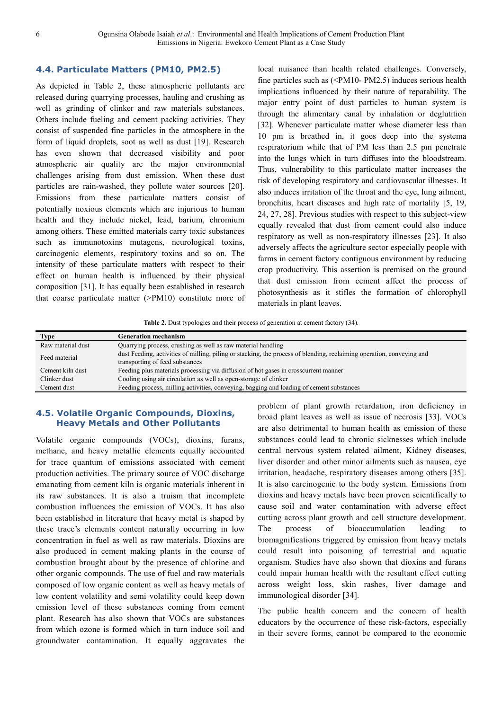#### **4.4. Particulate Matters (PM10, PM2.5)**

As depicted in Table 2, these atmospheric pollutants are released during quarrying processes, hauling and crushing as well as grinding of clinker and raw materials substances. Others include fueling and cement packing activities. They consist of suspended fine particles in the atmosphere in the form of liquid droplets, soot as well as dust [19]. Research has even shown that decreased visibility and poor atmospheric air quality are the major environmental challenges arising from dust emission. When these dust particles are rain-washed, they pollute water sources [20]. Emissions from these particulate matters consist of potentially noxious elements which are injurious to human health and they include nickel, lead, barium, chromium among others. These emitted materials carry toxic substances such as immunotoxins mutagens, neurological toxins, carcinogenic elements, respiratory toxins and so on. The intensity of these particulate matters with respect to their effect on human health is influenced by their physical composition [31]. It has equally been established in research that coarse particulate matter (>PM10) constitute more of local nuisance than health related challenges. Conversely, fine particles such as (<PM10- PM2.5) induces serious health implications influenced by their nature of reparability. The major entry point of dust particles to human system is through the alimentary canal by inhalation or deglutition [32]. Whenever particulate matter whose diameter less than 10 pm is breathed in, it goes deep into the systema respiratorium while that of PM less than 2.5 pm penetrate into the lungs which in turn diffuses into the bloodstream. Thus, vulnerability to this particulate matter increases the risk of developing respiratory and cardiovascular illnesses. It also induces irritation of the throat and the eye, lung ailment, bronchitis, heart diseases and high rate of mortality [5, 19, 24, 27, 28]. Previous studies with respect to this subject-view equally revealed that dust from cement could also induce respiratory as well as non-respiratory illnesses [23]. It also adversely affects the agriculture sector especially people with farms in cement factory contiguous environment by reducing crop productivity. This assertion is premised on the ground that dust emission from cement affect the process of photosynthesis as it stifles the formation of chlorophyll materials in plant leaves.

Table 2. Dust typologies and their process of generation at cement factory (34).

| Type              | <b>Generation mechanism</b>                                                                                           |  |
|-------------------|-----------------------------------------------------------------------------------------------------------------------|--|
| Raw material dust | Quarrying process, crushing as well as raw material handling                                                          |  |
| Feed material     | dust Feeding, activities of milling, piling or stacking, the process of blending, reclaiming operation, conveying and |  |
|                   | transporting of feed substances                                                                                       |  |
| Cement kiln dust  | Feeding plus materials processing via diffusion of hot gases in crosscurrent manner                                   |  |
| Clinker dust      | Cooling using air circulation as well as open-storage of clinker                                                      |  |
| Cement dust       | Feeding process, milling activities, conveying, bagging and loading of cement substances                              |  |
|                   |                                                                                                                       |  |

#### **4.5. Volatile Organic Compounds, Dioxins, Heavy Metals and Other Pollutants**

Volatile organic compounds (VOCs), dioxins, furans, methane, and heavy metallic elements equally accounted for trace quantum of emissions associated with cement production activities. The primary source of VOC discharge emanating from cement kiln is organic materials inherent in its raw substances. It is also a truism that incomplete combustion influences the emission of VOCs. It has also been established in literature that heavy metal is shaped by these trace's elements content naturally occurring in low concentration in fuel as well as raw materials. Dioxins are also produced in cement making plants in the course of combustion brought about by the presence of chlorine and other organic compounds. The use of fuel and raw materials composed of low organic content as well as heavy metals of low content volatility and semi volatility could keep down emission level of these substances coming from cement plant. Research has also shown that VOCs are substances from which ozone is formed which in turn induce soil and groundwater contamination. It equally aggravates the

problem of plant growth retardation, iron deficiency in broad plant leaves as well as issue of necrosis [33]. VOCs are also detrimental to human health as emission of these substances could lead to chronic sicknesses which include central nervous system related ailment, Kidney diseases, liver disorder and other minor ailments such as nausea, eye irritation, headache, respiratory diseases among others [35]. It is also carcinogenic to the body system. Emissions from dioxins and heavy metals have been proven scientifically to cause soil and water contamination with adverse effect cutting across plant growth and cell structure development. The process of bioaccumulation leading to biomagnifications triggered by emission from heavy metals could result into poisoning of terrestrial and aquatic organism. Studies have also shown that dioxins and furans could impair human health with the resultant effect cutting across weight loss, skin rashes, liver damage and immunological disorder [34].

The public health concern and the concern of health educators by the occurrence of these risk-factors, especially in their severe forms, cannot be compared to the economic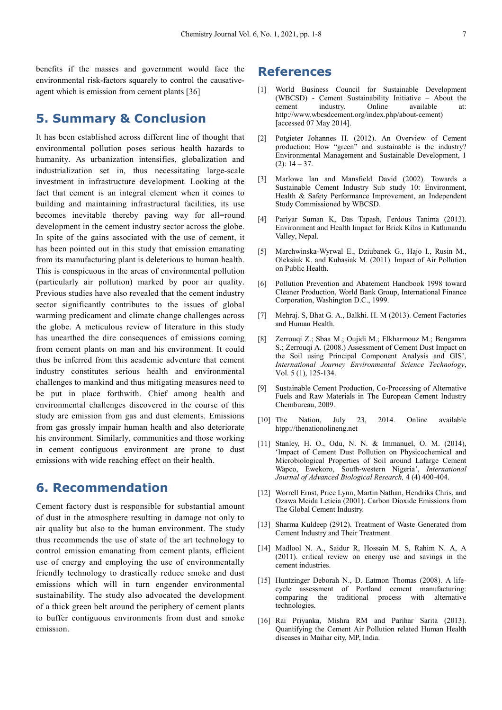benefits if the masses and government would face the environmental risk-factors squarely to control the causativeagent which is emission from cement plants [36]

### **5. Summary & Conclusion**

It has been established across different line of thought that environmental pollution poses serious health hazards to humanity. As urbanization intensifies, globalization and industrialization set in, thus necessitating large-scale investment in infrastructure development. Looking at the fact that cement is an integral element when it comes to building and maintaining infrastructural facilities, its use becomes inevitable thereby paving way for all=round development in the cement industry sector across the globe. In spite of the gains associated with the use of cement, it has been pointed out in this study that emission emanating from its manufacturing plant is deleterious to human health. This is conspicuous in the areas of environmental pollution (particularly air pollution) marked by poor air quality. Previous studies have also revealed that the cement industry sector significantly contributes to the issues of global warming predicament and climate change challenges across the globe. A meticulous review of literature in this study has unearthed the dire consequences of emissions coming from cement plants on man and his environment. It could thus be inferred from this academic adventure that cement industry constitutes serious health and environmental challenges to mankind and thus mitigating measures need to be put in place forthwith. Chief among health and environmental challenges discovered in the course of this study are emission from gas and dust elements. Emissions from gas grossly impair human health and also deteriorate his environment. Similarly, communities and those working in cement contiguous environment are prone to dust emissions with wide reaching effect on their health.

### **6. Recommendation**

Cement factory dust is responsible for substantial amount of dust in the atmosphere resulting in damage not only to air quality but also to the human environment. The study thus recommends the use of state of the art technology to control emission emanating from cement plants, efficient use of energy and employing the use of environmentally friendly technology to drastically reduce smoke and dust emissions which will in turn engender environmental sustainability. The study also advocated the development of a thick green belt around the periphery of cement plants to buffer contiguous environments from dust and smoke emission.

### **References**

- [1] World Business Council for Sustainable Development (WBCSD) - Cement Sustainability Initiative – About the cement industry. Online available at: http://www.wbcsdcement.org/index.php/about-cement) [accessed 07 May 2014].
- [2] Potgieter Johannes H. (2012). An Overview of Cement production: How "green" and sustainable is the industry? Environmental Management and Sustainable Development, 1  $(2): 14 - 37.$
- [3] Marlowe Ian and Mansfield David (2002). Towards a Sustainable Cement Industry Sub study 10: Environment, Health & Safety Performance Improvement, an Independent Study Commissioned by WBCSD.
- [4] Pariyar Suman K, Das Tapash, Ferdous Tanima (2013). Environment and Health Impact for Brick Kilns in Kathmandu Valley, Nepal.
- [5] Marchwinska-Wyrwal E., Dziubanek G., Hajo I., Rusin M., Oleksiuk K. and Kubasiak M. (2011). Impact of Air Pollution on Public Health.
- [6] Pollution Prevention and Abatement Handbook 1998 toward Cleaner Production, World Bank Group, International Finance Corporation, Washington D.C., 1999.
- [7] Mehraj. S, Bhat G. A., Balkhi. H. M (2013). Cement Factories and Human Health.
- [8] Zerrouqi Z.; Sbaa M.; Oujidi M.; Elkharmouz M.; Bengamra S.; Zerrouqi A. (2008.) Assessment of Cement Dust Impact on the Soil using Principal Component Analysis and GIS', *International Journey Environmental Science Technology*, Vol. 5 (1), 125-134.
- [9] Sustainable Cement Production, Co-Processing of Alternative Fuels and Raw Materials in The European Cement Industry Chembureau, 2009.
- [10] The Nation, July 23, 2014. Online available htpp://thenationolineng.net
- [11] Stanley, H. O., Odu, N. N. & Immanuel, O. M. (2014), 'Impact of Cement Dust Pollution on Physicochemical and Microbiological Properties of Soil around Lafarge Cement Wapco, Ewekoro, South-western Nigeria', *International Journal of Advanced Biological Research,* 4 (4) 400-404.
- [12] Worrell Ernst, Price Lynn, Martin Nathan, Hendriks Chris, and Ozawa Meida Leticia (2001). Carbon Dioxide Emissions from The Global Cement Industry.
- [13] Sharma Kuldeep (2912). Treatment of Waste Generated from Cement Industry and Their Treatment.
- [14] Madlool N. A., Saidur R, Hossain M. S, Rahim N. A, A (2011). critical review on energy use and savings in the cement industries.
- [15] Huntzinger Deborah N., D. Eatmon Thomas (2008). A lifecycle assessment of Portland cement manufacturing: comparing the traditional process with alternative technologies.
- [16] Rai Priyanka, Mishra RM and Parihar Sarita (2013). Quantifying the Cement Air Pollution related Human Health diseases in Maihar city, MP, India.